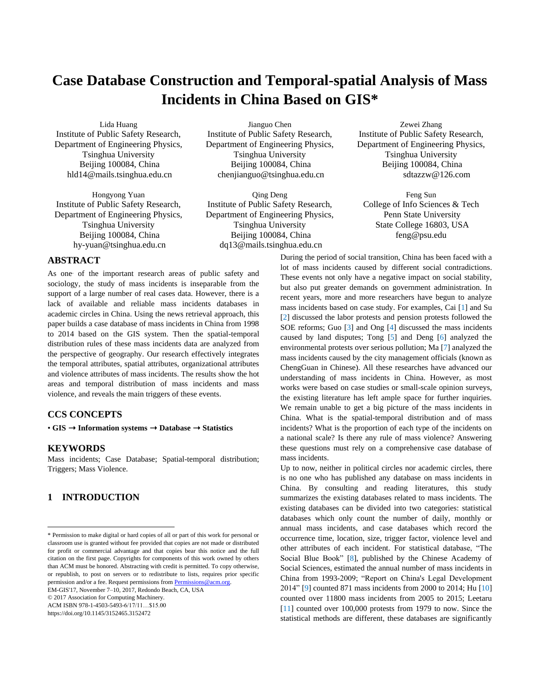# **Case Database Construction and Temporal-spatial Analysis of Mass Incidents in China Based on GIS\***

Lida Huang Institute of Public Safety Research, Department of Engineering Physics, Tsinghua University Beijing 100084, China hld14@mails.tsinghua.edu.cn

Hongyong Yuan Institute of Public Safety Research, Department of Engineering Physics, Tsinghua University Beijing 100084, China hy-yuan@tsinghua.edu.cn

## **ABSTRACT**

As one of the important research areas of public safety and sociology, the study of mass incidents is inseparable from the support of a large number of real cases data. However, there is a lack of available and reliable mass incidents databases in academic circles in China. Using the news retrieval approach, this paper builds a case database of mass incidents in China from 1998 to 2014 based on the GIS system. Then the spatial-temporal distribution rules of these mass incidents data are analyzed from the perspective of geography. Our research effectively integrates the temporal attributes, spatial attributes, organizational attributes and violence attributes of mass incidents. The results show the hot areas and temporal distribution of mass incidents and mass violence, and reveals the main triggers of these events.

#### **CCS CONCEPTS**

• **GIS** ➝ **Information systems** ➝ **Database** ➝ **Statistics**

#### **KEYWORDS**

 $\overline{a}$ 

Mass incidents; Case Database; Spatial-temporal distribution; Triggers; Mass Violence.

# **1 INTRODUCTION**

© 2017 Association for Computing Machinery.

ACM ISBN 978-1-4503-5493-6/17/11…\$15.00 https://doi.org/10.1145/3152465.3152472

Jianguo Chen Institute of Public Safety Research, Department of Engineering Physics, Tsinghua University Beijing 100084, China chenjianguo@tsinghua.edu.cn

Qing Deng Institute of Public Safety Research, Department of Engineering Physics, Tsinghua University Beijing 100084, China dq13@mails.tsinghua.edu.cn

Zewei Zhang Institute of Public Safety Research, Department of Engineering Physics, Tsinghua University Beijing 100084, China sdtazzw@126.com

Feng Sun College of Info Sciences & Tech Penn State University State College 16803, USA feng@psu.edu

During the period of social transition, China has been faced with a lot of mass incidents caused by different social contradictions. These events not only have a negative impact on social stability, but also put greater demands on government administration. In recent years, more and more researchers have begun to analyze mass incidents based on case study. For examples, Cai [\[1\]](#page-3-0) and Su [\[2\]](#page-3-1) discussed the labor protests and pension protests followed the SOE reforms; Guo [\[3\]](#page-3-2) and Ong [\[4\]](#page-3-3) discussed the mass incidents caused by land disputes; Tong [\[5\]](#page-3-4) and Deng [\[6\]](#page-3-5) analyzed the environmental protests over serious pollution; Ma [\[7\]](#page-3-6) analyzed the mass incidents caused by the city management officials (known as ChengGuan in Chinese). All these researches have advanced our understanding of mass incidents in China. However, as most works were based on case studies or small-scale opinion surveys, the existing literature has left ample space for further inquiries. We remain unable to get a big picture of the mass incidents in China. What is the spatial-temporal distribution and of mass incidents? What is the proportion of each type of the incidents on a national scale? Is there any rule of mass violence? Answering these questions must rely on a comprehensive case database of mass incidents.

Up to now, neither in political circles nor academic circles, there is no one who has published any database on mass incidents in China. By consulting and reading literatures, this study summarizes the existing databases related to mass incidents. The existing databases can be divided into two categories: statistical databases which only count the number of daily, monthly or annual mass incidents, and case databases which record the occurrence time, location, size, trigger factor, violence level and other attributes of each incident. For statistical database, "The Social Blue Book" [\[8\],](#page-3-7) published by the Chinese Academy of Social Sciences, estimated the annual number of mass incidents in China from 1993-2009; "Report on China's Legal Development 2014[" \[9\]](#page-3-8) counted 871 mass incidents from 2000 to 2014; Hu [\[10\]](#page-3-9) counted over 11800 mass incidents from 2005 to 2015; Leetaru [\[11\]](#page-3-10) counted over 100,000 protests from 1979 to now. Since the statistical methods are different, these databases are significantly

<sup>\*</sup> Permission to make digital or hard copies of all or part of this work for personal or classroom use is granted without fee provided that copies are not made or distributed for profit or commercial advantage and that copies bear this notice and the full citation on the first page. Copyrights for components of this work owned by others than ACM must be honored. Abstracting with credit is permitted. To copy otherwise, or republish, to post on servers or to redistribute to lists, requires prior specific permission and/or a fee. Request permissions from **Permissions@acm.org**. EM-GIS'17, November 7–10, 2017, Redondo Beach, CA, USA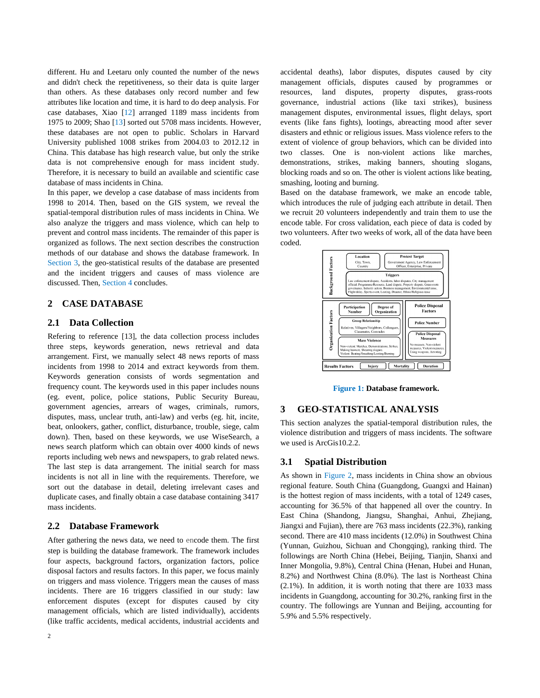different. Hu and Leetaru only counted the number of the news and didn't check the repetitiveness, so their data is quite larger than others. As these databases only record number and few attributes like location and time, it is hard to do deep analysis. For case databases, Xiao [\[12\]](#page-3-11) arranged 1189 mass incidents from 1975 to 2009; Shao [\[13\]](#page-3-12) sorted out 5708 mass incidents. However, these databases are not open to public. Scholars in Harvard University published 1008 strikes from 2004.03 to 2012.12 in China. This database has high research value, but only the strike data is not comprehensive enough for mass incident study. Therefore, it is necessary to build an available and scientific case database of mass incidents in China.

In this paper, we develop a case database of mass incidents from 1998 to 2014. Then, based on the GIS system, we reveal the spatial-temporal distribution rules of mass incidents in China. We also analyze the triggers and mass violence, which can help to prevent and control mass incidents. The remainder of this paper is organized as follows. The next section describes the construction methods of our database and shows the database framework. In Section [3,](#page-1-0) the geo-statistical results of the database are presented and the incident triggers and causes of mass violence are discussed. Then, Section [4](#page-3-13) concludes.

## **2 CASE DATABASE**

#### **2.1 Data Collection**

Refering to reference [\[13\],](#page-3-12) the data collection process includes three steps, keywords generation, news retrieval and data arrangement. First, we manually select 48 news reports of mass incidents from 1998 to 2014 and extract keywords from them. Keywords generation consists of words segmentation and frequency count. The keywords used in this paper includes nouns (eg. event, police, police stations, Public Security Bureau, government agencies, arrears of wages, criminals, rumors, disputes, mass, unclear truth, anti-law) and verbs (eg. hit, incite, beat, onlookers, gather, conflict, disturbance, trouble, siege, calm down). Then, based on these keywords, we use WiseSearch, a news search platform which can obtain over 4000 kinds of news reports including web news and newspapers, to grab related news. The last step is data arrangement. The initial search for mass incidents is not all in line with the requirements. Therefore, we sort out the database in detail, deleting irrelevant cases and duplicate cases, and finally obtain a case database containing 3417 mass incidents.

## **2.2 Database Framework**

After gathering the news data, we need to encode them. The first step is building the database framework. The framework includes four aspects, background factors, organization factors, police disposal factors and results factors. In this paper, we focus mainly on triggers and mass violence. Triggers mean the causes of mass incidents. There are 16 triggers classified in our study: law enforcement disputes (except for disputes caused by city management officials, which are listed individually), accidents (like traffic accidents, medical accidents, industrial accidents and

accidental deaths), labor disputes, disputes caused by city management officials, disputes caused by programmes or resources, land disputes, property disputes, grass-roots governance, industrial actions (like taxi strikes), business management disputes, environmental issues, flight delays, sport events (like fans fights), lootings, abreacting mood after sever disasters and ethnic or religious issues. Mass violence refers to the extent of violence of group behaviors, which can be divided into two classes. One is non-violent actions like marches, demonstrations, strikes, making banners, shouting slogans, blocking roads and so on. The other is violent actions like beating, smashing, looting and burning.

Based on the database framework, we make an encode table, which introduces the rule of judging each attribute in detail. Then we recruit 20 volunteers independently and train them to use the encode table. For cross validation, each piece of data is coded by two volunteers. After two weeks of work, all of the data have been coded.



**Figure 1: Database framework.**

## <span id="page-1-0"></span>**3 GEO-STATISTICAL ANALYSIS**

This section analyzes the spatial-temporal distribution rules, the violence distribution and triggers of mass incidents. The software we used is ArcGis10.2.2.

#### **3.1 Spatial Distribution**

As shown in [Figure 2,](#page-2-0) mass incidents in China show an obvious regional feature. South China (Guangdong, Guangxi and Hainan) is the hottest region of mass incidents, with a total of 1249 cases, accounting for 36.5% of that happened all over the country. In East China (Shandong, Jiangsu, Shanghai, Anhui, Zhejiang, Jiangxi and Fujian), there are 763 mass incidents (22.3%), ranking second. There are 410 mass incidents (12.0%) in Southwest China (Yunnan, Guizhou, Sichuan and Chongqing), ranking third. The followings are North China (Hebei, Beijing, Tianjin, Shanxi and Inner Mongolia, 9.8%), Central China (Henan, Hubei and Hunan, 8.2%) and Northwest China (8.0%). The last is Northeast China (2.1%). In addition, it is worth noting that there are 1033 mass incidents in Guangdong, accounting for 30.2%, ranking first in the country. The followings are Yunnan and Beijing, accounting for 5.9% and 5.5% respectively.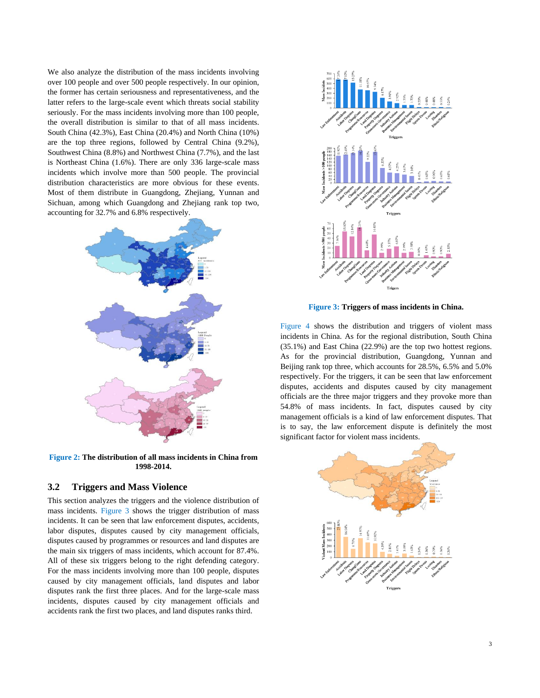We also analyze the distribution of the mass incidents involving over 100 people and over 500 people respectively. In our opinion, the former has certain seriousness and representativeness, and the latter refers to the large-scale event which threats social stability seriously. For the mass incidents involving more than 100 people, the overall distribution is similar to that of all mass incidents. South China (42.3%), East China (20.4%) and North China (10%) are the top three regions, followed by Central China (9.2%), Southwest China (8.8%) and Northwest China (7.7%), and the last is Northeast China (1.6%). There are only 336 large-scale mass incidents which involve more than 500 people. The provincial distribution characteristics are more obvious for these events. Most of them distribute in Guangdong, Zhejiang, Yunnan and Sichuan, among which Guangdong and Zhejiang rank top two, accounting for 32.7% and 6.8% respectively.



<span id="page-2-0"></span>**Figure 2: The distribution of all mass incidents in China from 1998-2014.**

#### **3.2 Triggers and Mass Violence**

This section analyzes the triggers and the violence distribution of mass incidents. [Figure 3](#page-2-1) shows the trigger distribution of mass incidents. It can be seen that law enforcement disputes, accidents, labor disputes, disputes caused by city management officials, disputes caused by programmes or resources and land disputes are the main six triggers of mass incidents, which account for 87.4%. All of these six triggers belong to the right defending category. For the mass incidents involving more than 100 people, disputes caused by city management officials, land disputes and labor disputes rank the first three places. And for the large-scale mass incidents, disputes caused by city management officials and accidents rank the first two places, and land disputes ranks third.



**Figure 3: Triggers of mass incidents in China.**

<span id="page-2-1"></span>[Figure 4](#page-3-14) shows the distribution and triggers of violent mass incidents in China. As for the regional distribution, South China (35.1%) and East China (22.9%) are the top two hottest regions. As for the provincial distribution, Guangdong, Yunnan and Beijing rank top three, which accounts for 28.5%, 6.5% and 5.0% respectively. For the triggers, it can be seen that law enforcement disputes, accidents and disputes caused by city management officials are the three major triggers and they provoke more than 54.8% of mass incidents. In fact, disputes caused by city management officials is a kind of law enforcement disputes. That is to say, the law enforcement dispute is definitely the most significant factor for violent mass incidents.